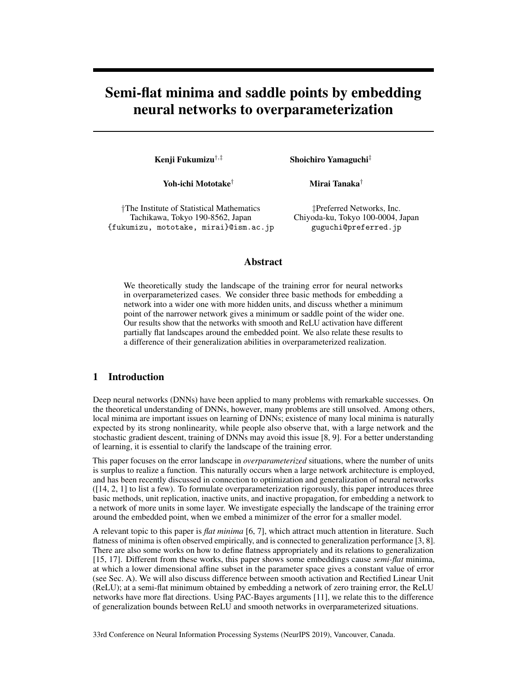# Semi-flat minima and saddle points by embedding neural networks to overparameterization

Kenji Fukumizu†,‡ Shoichiro Yamaguchi‡

Yoh-ichi Mototake<sup>†</sup> Mirai Tanaka<sup>†</sup>

†The Institute of Statistical Mathematics Tachikawa, Tokyo 190-8562, Japan {fukumizu, mototake, mirai}@ism.ac.jp

‡Preferred Networks, Inc. Chiyoda-ku, Tokyo 100-0004, Japan guguchi@preferred.jp

## Abstract

We theoretically study the landscape of the training error for neural networks in overparameterized cases. We consider three basic methods for embedding a network into a wider one with more hidden units, and discuss whether a minimum point of the narrower network gives a minimum or saddle point of the wider one. Our results show that the networks with smooth and ReLU activation have different partially flat landscapes around the embedded point. We also relate these results to a difference of their generalization abilities in overparameterized realization.

## 1 Introduction

Deep neural networks (DNNs) have been applied to many problems with remarkable successes. On the theoretical understanding of DNNs, however, many problems are still unsolved. Among others, local minima are important issues on learning of DNNs; existence of many local minima is naturally expected by its strong nonlinearity, while people also observe that, with a large network and the stochastic gradient descent, training of DNNs may avoid this issue [8, 9]. For a better understanding of learning, it is essential to clarify the landscape of the training error.

This paper focuses on the error landscape in *overparameterized* situations, where the number of units is surplus to realize a function. This naturally occurs when a large network architecture is employed, and has been recently discussed in connection to optimization and generalization of neural networks ([14, 2, 1] to list a few). To formulate overparameterization rigorously, this paper introduces three basic methods, unit replication, inactive units, and inactive propagation, for embedding a network to a network of more units in some layer. We investigate especially the landscape of the training error around the embedded point, when we embed a minimizer of the error for a smaller model.

A relevant topic to this paper is *flat minima* [6, 7], which attract much attention in literature. Such flatness of minima is often observed empirically, and is connected to generalization performance [3, 8]. There are also some works on how to define flatness appropriately and its relations to generalization [15, 17]. Different from these works, this paper shows some embeddings cause *semi-flat* minima, at which a lower dimensional affine subset in the parameter space gives a constant value of error (see Sec. A). We will also discuss difference between smooth activation and Rectified Linear Unit (ReLU); at a semi-flat minimum obtained by embedding a network of zero training error, the ReLU networks have more flat directions. Using PAC-Bayes arguments [11], we relate this to the difference of generalization bounds between ReLU and smooth networks in overparameterized situations.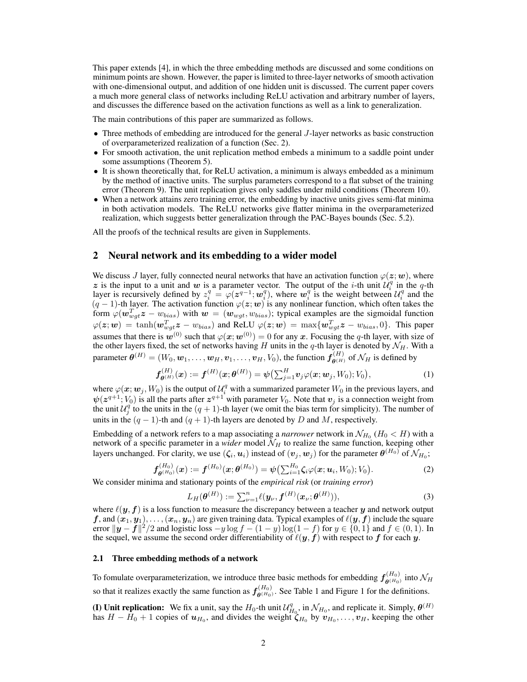This paper extends [4], in which the three embedding methods are discussed and some conditions on minimum points are shown. However, the paper is limited to three-layer networks of smooth activation with one-dimensional output, and addition of one hidden unit is discussed. The current paper covers a much more general class of networks including ReLU activation and arbitrary number of layers, and discusses the difference based on the activation functions as well as a link to generalization.

The main contributions of this paper are summarized as follows.

- Three methods of embedding are introduced for the general J-layer networks as basic construction of overparameterized realization of a function (Sec. 2).
- For smooth activation, the unit replication method embeds a minimum to a saddle point under some assumptions (Theorem 5).
- It is shown theoretically that, for ReLU activation, a minimum is always embedded as a minimum by the method of inactive units. The surplus parameters correspond to a flat subset of the training error (Theorem 9). The unit replication gives only saddles under mild conditions (Theorem 10).
- When a network attains zero training error, the embedding by inactive units gives semi-flat minima in both activation models. The ReLU networks give flatter minima in the overparameterized realization, which suggests better generalization through the PAC-Bayes bounds (Sec. 5.2).

All the proofs of the technical results are given in Supplements.

## 2 Neural network and its embedding to a wider model

We discuss J layer, fully connected neural networks that have an activation function  $\varphi(z; w)$ , where z is the input to a unit and w is a parameter vector. The output of the *i*-th unit  $\mathcal{U}_i^q$  in the *q*-th 2 is the input to a unit and w is a parameter vector. The output of the *i*-th unit  $\alpha_i$  in the *q*-th layer is recursively defined by  $z_i^q = \varphi(z^{q-1}; \omega_i^q)$ , where  $\omega_i^q$  is the weight between  $\mathcal{U}_i^q$  and the  $(q-1)$ -th layer. The activation function  $\varphi(z; w)$  is any nonlinear function, which often takes the form  $\varphi(w_{wgt}^T z - w_{bias})$  with  $w = (w_{wgt}, w_{bias})$ ; typical examples are the sigmoidal function  $\varphi(\bm{z};\bm{w}) = \tanh(\bm{w}_{wgt}^T\bm{z} - w_{bias})$  and ReLU  $\varphi(\bm{z};\bm{w}) = \max\{\bm{w}_{wgt}^T\bm{z} - w_{bias}, 0\}$ . This paper assumes that there is  $w^{(0)}$  such that  $\varphi(x; w^{(0)}) = 0$  for any x. Focusing the q-th layer, with size of the other layers fixed, the set of networks having H units in the q-th layer is denoted by  $\mathcal{N}_H$ . With a parameter  $\theta^{(H)}=(W_0,\omega_1,\ldots,\omega_H,v_1,\ldots,v_H,V_0)$ , the function  $f^{(H)}_{\theta^{(H)}}$  of  $\mathcal{N}_H$  is defined by

$$
\bm{f}_{\bm{\theta}^{(H)}}^{(H)}(\bm{x}) := \bm{f}^{(H)}(\bm{x};\bm{\theta}^{(H)}) = \psi\big(\sum_{j=1}^{H} \bm{v}_j \varphi(\bm{x};\bm{w}_j,W_0);V_0\big),\tag{1}
$$

where  $\varphi(\bm x;\bm w_j,W_0)$  is the output of  $\mathcal{U}_i^q$  with a summarized parameter  $W_0$  in the previous layers, and  $\psi(z^{q+1};V_0)$  is all the parts after  $z^{q+1}$  with parameter  $V_0$ . Note that  $v_j$  is a connection weight from the unit  $\mathcal{U}_j^q$  to the units in the  $(q + 1)$ -th layer (we omit the bias term for simplicity). The number of units in the  $(q - 1)$ -th and  $(q + 1)$ -th layers are denoted by D and M, respectively.

Embedding of a network refers to a map associating a *narrower* network in  $\mathcal{N}_{H_0}$   $(H_0 < H)$  with a network of a specific parameter in a *wider* model  $\mathcal{N}_H$  to realize the same function, keeping other layers unchanged. For clarity, we use  $(\zeta_i, \pmb{u}_i)$  instead of  $(\pmb{v}_j, \pmb{w}_j)$  for the parameter  $\pmb{\theta}^{(H_0)}$  of  $\mathcal{N}_{H_0};$ 

$$
\boldsymbol{f}_{\boldsymbol{\theta}^{(H_0)}}^{(H_0)}(\boldsymbol{x}) := \boldsymbol{f}^{(H_0)}(\boldsymbol{x};\boldsymbol{\theta}^{(H_0)}) = \boldsymbol{\psi}\big(\sum_{i=1}^{H_0} \boldsymbol{\zeta}_i \varphi(\boldsymbol{x};\boldsymbol{u}_i,W_0);V_0\big).
$$
 (2)

We consider minima and stationary points of the *empirical risk* (or *training error*)

$$
L_H(\boldsymbol{\theta}^{(H)}) := \sum_{\nu=1}^n \ell(\mathbf{y}_{\nu}, \mathbf{f}^{(H)}(\mathbf{x}_{\nu}; \boldsymbol{\theta}^{(H)})),
$$
\n(3)

where  $\ell(y, f)$  is a loss function to measure the discrepancy between a teacher y and network output  $f$ , and  $(x_1, y_1), \ldots, (x_n, y_n)$  are given training data. Typical examples of  $\ell(y, f)$  include the square error  $\|\mathbf{y} - \mathbf{f}\|^2/2$  and logistic loss  $-y \log f - (1 - y) \log(1 - f)$  for  $y \in \{0, 1\}$  and  $f \in (0, 1)$ . In the sequel, we assume the second order differentiability of  $\ell(y, f)$  with respect to f for each y.

#### 2.1 Three embedding methods of a network

To fomulate overparameterization, we introduce three basic methods for embedding  $f_{a(H_0)}^{(H_0)}$  $\theta$ <sup>(H<sub>0</sub>)</sup> into  $\mathcal{N}_H$ so that it realizes exactly the same function as  $f_{\mathbf{a}(H_0)}^{(H_0)}$  $\theta^{(H_0)}_{(\theta^{(H_0)})}$ . See Table 1 and Figure 1 for the definitions.

(I) Unit replication: We fix a unit, say the  $H_0$ -th unit  $\mathcal{U}_{H_0}^q$ , in  $\mathcal{N}_{H_0}$ , and replicate it. Simply,  $\theta^{(H)}$ has  $H - H_0 + 1$  copies of  $u_{H_0}$ , and divides the weight  $\zeta_{H_0}$  by  $v_{H_0}, \ldots, v_H$ , keeping the other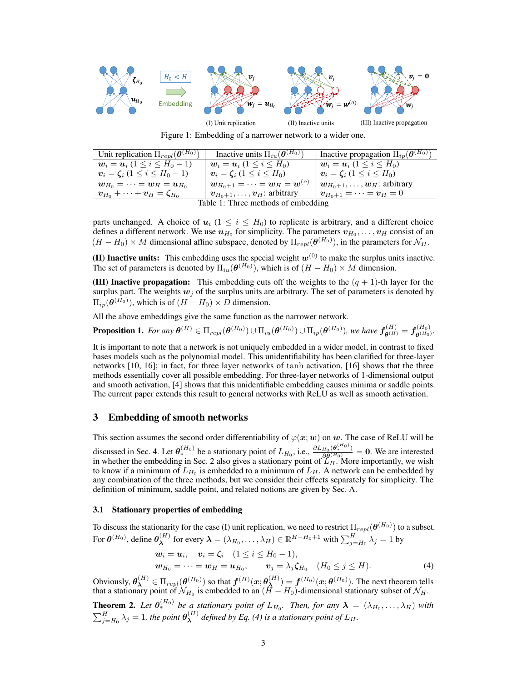

Figure 1: Embedding of a narrower network to a wider one.

| Unit replication $\Pi_{repl}(\boldsymbol{\theta}^{(H_0)})$                    | Inactive units $\Pi_{iu}(\boldsymbol{\theta}^{(H_0)})$                | Inactive propagation $\Pi_{ip}(\boldsymbol{\theta}^{(H_0)})$   |
|-------------------------------------------------------------------------------|-----------------------------------------------------------------------|----------------------------------------------------------------|
| $w_i = u_i (1 \le i \le H_0 - 1)$                                             | $w_i = u_i$ (1 < i < H <sub>0</sub> )                                 | $w_i = u_i (1 \leq i \leq H_0)$                                |
| $v_i = \zeta_i (1 \leq i \leq H_0 - 1)$                                       | $v_i = \zeta_i (1 \leq i \leq H_0)$                                   | $v_i = \zeta_i (1 \le i \le H_0)$                              |
| $w_{H_0} = \cdots = w_H = u_{H_0}$                                            | $\boldsymbol{w}_{H_0+1}=\cdots=\boldsymbol{w}_H=\boldsymbol{w}^{(o)}$ | $\boldsymbol{w}_{H_0+1}, \ldots, \boldsymbol{w}_H$ : arbitrary |
| $\boldsymbol{v}_{H_0} + \cdots + \boldsymbol{v}_H = \boldsymbol{\zeta}_{H_0}$ | $\boldsymbol{v}_{H_0+1}, \ldots, \boldsymbol{v}_H$ : arbitrary        | $\boldsymbol{v}_{H_0+1}=\cdots=\boldsymbol{v}_H=0$             |
| Table 1: Three methods of embedding                                           |                                                                       |                                                                |

parts unchanged. A choice of  $u_i$  ( $1 \le i \le H_0$ ) to replicate is arbitrary, and a different choice defines a different network. We use  $u_{H_0}$  for simplicity. The parameters  $v_{H_0}, \ldots, v_H$  consist of an  $(H - H_0) \times M$  dimensional affine subspace, denoted by  $\Pi_{repl}(\theta^{(H_0)})$ , in the parameters for  $\mathcal{N}_H$ .

(II) Inactive units: This embedding uses the special weight  $w^{(0)}$  to make the surplus units inactive. The set of parameters is denoted by  $\Pi_{iu}(\boldsymbol{\theta}^{(H_0)})$ , which is of  $(H - H_0) \times M$  dimension.

(III) Inactive propagation: This embedding cuts off the weights to the  $(q + 1)$ -th layer for the surplus part. The weights  $w_j$  of the surplus units are arbitrary. The set of parameters is denoted by  $\Pi_{ip}(\boldsymbol{\theta}^{(H_0)})$ , which is of  $(H - H_0) \times D$  dimension.

All the above embeddings give the same function as the narrower network.

**Proposition 1.** For any  $\bm{\theta}^{(H)} \in \Pi_{repl}(\bm{\theta}^{(H_0)}) \cup \Pi_{iu}(\bm{\theta}^{(H_0)}) \cup \Pi_{ip}(\bm{\theta}^{(H_0)}),$  we have  $\bm{f}^{(H)}_{\bm{\theta}^{(H)}} = \bm{f}^{(H_0)}_{\bm{\theta}^{(H_0)}}$  $\overset{\scriptscriptstyle{(}}{\theta^{(H_0)}}$ .

It is important to note that a network is not uniquely embedded in a wider model, in contrast to fixed bases models such as the polynomial model. This unidentifiability has been clarified for three-layer networks [10, 16]; in fact, for three layer networks of tanh activation, [16] shows that the three methods essentially cover all possible embedding. For three-layer networks of 1-dimensional output and smooth activation, [4] shows that this unidentifiable embedding causes minima or saddle points. The current paper extends this result to general networks with ReLU as well as smooth activation.

## 3 Embedding of smooth networks

This section assumes the second order differentiability of  $\varphi(x; w)$  on w. The case of ReLU will be discussed in Sec. 4. Let  $\theta_*^{(H_0)}$  be a stationary point of  $L_{H_0}$ , i.e.,  $\frac{\partial L_{H_0}(\theta_*^{(H_0)})}{\partial \theta^{(H_0)}}$  $\frac{H_0(\mathbf{\Theta}^*)}{\partial \mathbf{\theta}^{(H_0)}} = \mathbf{0}$ . We are interested in whether the embedding in Sec. 2 also gives a stationary point of  $\mathcal{L}_H$ . More importantly, we wish to know if a minimum of  $L_{H_0}$  is embedded to a minimum of  $L_H$ . A network can be embedded by any combination of the three methods, but we consider their effects separately for simplicity. The definition of minimum, saddle point, and related notions are given by Sec. A.

#### 3.1 Stationary properties of embedding

To discuss the stationarity for the case (I) unit replication, we need to restrict  $\Pi_{repl}(\bm{\theta}^{(H_0)})$  to a subset. For  $\boldsymbol{\theta}^{(H_0)}$ , define  $\boldsymbol{\theta}^{(H)}_{\boldsymbol{\lambda}}$  $\lambda^{(H)}$  for every  $\bm{\lambda}=(\lambda_{H_0},\ldots,\lambda_{H})\in\mathbb{R}^{H-H_0+1}$  with  $\sum_{j=H_0}^{H}\lambda_{j}=1$  by

$$
\begin{aligned}\n\boldsymbol{w}_i &= \boldsymbol{u}_i, \quad \boldsymbol{v}_i = \boldsymbol{\zeta}_i \quad (1 \leq i \leq H_0 - 1), \\
\boldsymbol{w}_{H_0} &= \cdots = \boldsymbol{w}_H = \boldsymbol{u}_{H_0}, \qquad \boldsymbol{v}_j = \lambda_j \boldsymbol{\zeta}_{H_0} \quad (H_0 \leq j \leq H).\n\end{aligned} \tag{4}
$$

Obviously,  $\bm{\theta}^{(H)}_{\bm{\lambda}} \in \Pi_{repl}(\bm{\theta}^{(H_0)})$  so that  $\bm{f}^{(H)}(\bm{x};\bm{\theta}^{(H)}_{\bm{\lambda}})$  $\mathbf{A}^{(H)}$ ) =  $\boldsymbol{f}^{(H_0)}(\boldsymbol{x};\boldsymbol{\theta}^{(H_0)})$ . The next theorem tells that a stationary point of  $\mathcal{N}_{H_0}$  is embedded to an  $(H - H_0)$ -dimensional stationary subset of  $\mathcal{N}_H$ .

**Theorem 2.** Let  $\theta_*^{(H_0)}$  be a stationary point of  $L_{H_0}$ . Then, for any  $\lambda = (\lambda_{H_0}, \dots, \lambda_H)$  with  $\sum_{j=H_0}^{H} \lambda_j = 1$ , the point  $\boldsymbol{\theta}^{(H)}_{\boldsymbol{\lambda}}$  $\lambda^{(H)}$  defined by Eq. (4) is a stationary point of  $L_H$ .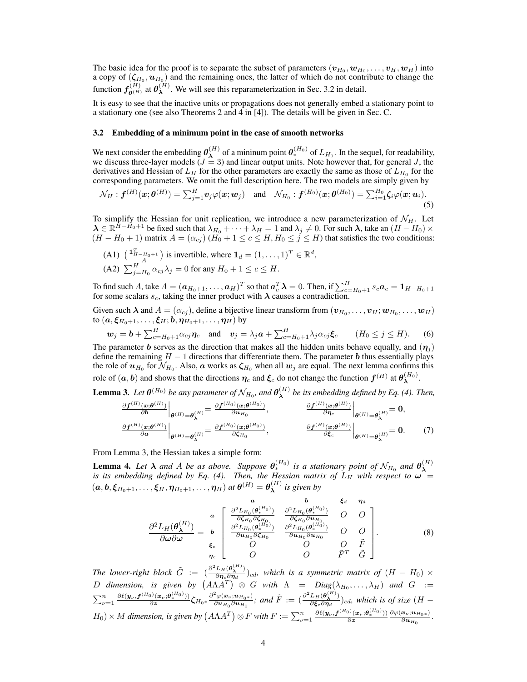The basic idea for the proof is to separate the subset of parameters  $(\bm{v}_{H_0}, \bm{w}_{H_0}, \dots, \bm{v}_{H}, \bm{w}_{H})$  into a copy of  $(\zeta_{H_0},\boldsymbol{u}_{H_0})$  and the remaining ones, the latter of which do not contribute to change the function  $f_{\theta^{(H)}}^{(H)}$  at  $\theta_{\lambda}^{(H)}$  $\lambda^{(H)}$ . We will see this reparameterization in Sec. 3.2 in detail.

It is easy to see that the inactive units or propagations does not generally embed a stationary point to a stationary one (see also Theorems 2 and 4 in [4]). The details will be given in Sec. C.

#### 3.2 Embedding of a minimum point in the case of smooth networks

We next consider the embedding  $\theta_{\lambda}^{(H)}$  $\mathbf{A}^{(H)}$  of a mininum point  $\mathbf{\theta}_{*}^{(H_0)}$  of  $L_{H_0}$ . In the sequel, for readability, we discuss three-layer models  $(J = 3)$  and linear output units. Note however that, for general J, the derivatives and Hessian of  $L_H$  for the other parameters are exactly the same as those of  $L_{H_0}$  for the corresponding parameters. We omit the full description here. The two models are simply given by

$$
\mathcal{N}_H: \boldsymbol{f}^{(H)}(\boldsymbol{x};\boldsymbol{\theta}^{(H)}) = \sum_{j=1}^H \boldsymbol{v}_j \varphi(\boldsymbol{x};\boldsymbol{w}_j) \quad \text{and} \quad \mathcal{N}_{H_0}: \boldsymbol{f}^{(H_0)}(\boldsymbol{x};\boldsymbol{\theta}^{(H_0)}) = \sum_{i=1}^{H_0} \zeta_i \varphi(\boldsymbol{x};\boldsymbol{u}_i).
$$
\n(5)

To simplify the Hessian for unit replication, we introduce a new parameterization of  $\mathcal{N}_H$ . Let  $\lambda \in \mathbb{R}^{H-\tilde{H}_0+1}$  be fixed such that  $\lambda_{H_0} + \cdots + \lambda_H = 1$  and  $\lambda_j \neq 0$ . For such  $\lambda$ , take an  $(H-\tilde{H}_0) \times$  $(H - H_0 + 1)$  matrix  $A = (\alpha_{cj}) (H_0 + 1 \le c \le H, H_0 \le j \le H)$  that satisfies the two conditions:

(A1) 
$$
\begin{pmatrix} \mathbf{1}_{H-H_0+1}^T \\ A \end{pmatrix}
$$
 is invertible, where  $\mathbf{1}_d = (1, \dots, 1)^T \in \mathbb{R}^d$ ,  
(A2)  $\sum_{j=H_0}^H \alpha_{cj} \lambda_j = 0$  for any  $H_0 + 1 \leq c \leq H$ .

To find such A, take  $A = (\boldsymbol{a}_{H_0+1}, \dots, \boldsymbol{a}_H)^T$  so that  $\boldsymbol{a}_c^T \boldsymbol{\lambda} = 0$ . Then, if  $\sum_{c=H_0+1}^{H} s_c \boldsymbol{a}_c = \boldsymbol{1}_{H-H_0+1}$ for some scalars  $s_c$ , taking the inner product with  $\lambda$  causes a contradiction.

Given such  $\bm{\lambda}$  and  $A = (\alpha_{cj})$ , define a bijective linear transform from  $(\bm{v}_{H_0}, \dots, \bm{v}_H; \bm{w}_{H_0}, \dots, \bm{w}_H)$ to  $(a, \xi_{H_0+1}, \ldots, \xi_H; b, \eta_{H_0+1}, \ldots, \eta_H)$  by

$$
\boldsymbol{w}_j = \boldsymbol{b} + \sum_{c=H_0+1}^H \alpha_{cj} \boldsymbol{\eta}_c \quad \text{and} \quad \boldsymbol{v}_j = \lambda_j \boldsymbol{a} + \sum_{c=H_0+1}^H \lambda_j \alpha_{cj} \boldsymbol{\xi}_c \qquad (H_0 \leq j \leq H). \tag{6}
$$

The parameter b serves as the direction that makes all the hidden units behave equally, and  $(\eta_i)$ define the remaining  $H - 1$  directions that differentiate them. The parameter b thus essentially plays the role of  $u_{H_0}$  for  $\mathcal{N}_{H_0}.$  Also,  $\bm{a}$  works as  $\bm{\zeta}_{H_0}$  when all  $\bm{w}_j$  are equal. The next lemma confirms this role of  $(a, b)$  and shows that the directions  $\eta_c$  and  $\xi_c$  do not change the function  $f^{(H)}$  at  $\theta_{\lambda}^{(H_0)}$ .

**Lemma 3.** Let  $\theta^{(H_0)}$  be any parameter of  $\mathcal{N}_{H_0}$ , and  $\theta^{(H)}_{\boldsymbol{\lambda}}$ λ *be its embedding defined by Eq. (4). Then,*

$$
\frac{\partial f^{(H)}(\mathbf{x};\boldsymbol{\theta}^{(H)})}{\partial \mathbf{b}}\Big|_{\boldsymbol{\theta}^{(H)}=\boldsymbol{\theta}_{\lambda}^{(H)}} = \frac{\partial f^{(H_0)}(\mathbf{x};\boldsymbol{\theta}^{(H_0)})}{\partial \mathbf{u}_{H_0}}, \qquad \frac{\partial f^{(H)}(\mathbf{x};\boldsymbol{\theta}^{(H)})}{\partial \eta_c}\Big|_{\boldsymbol{\theta}^{(H)}=\boldsymbol{\theta}_{\lambda}^{(H)}} = \mathbf{0},
$$
\n
$$
\frac{\partial f^{(H)}(\mathbf{x};\boldsymbol{\theta}^{(H)})}{\partial \mathbf{a}}\Big|_{\boldsymbol{\theta}^{(H)}=\boldsymbol{\theta}_{\lambda}^{(H)}} = \frac{\partial f^{(H_0)}(\mathbf{x};\boldsymbol{\theta}^{(H_0)})}{\partial \zeta_{H_0}}, \qquad \frac{\partial f^{(H)}(\mathbf{x};\boldsymbol{\theta}^{(H)})}{\partial \zeta_c}\Big|_{\boldsymbol{\theta}^{(H)}=\boldsymbol{\theta}_{\lambda}^{(H)}} = \mathbf{0}.
$$
\n(7)

From Lemma 3, the Hessian takes a simple form:

**Lemma 4.** Let  $\lambda$  and A be as above. Suppose  $\theta_*^{(H_0)}$  is a stationary point of  $\mathcal{N}_{H_0}$  and  $\theta_{\lambda}^{(H)}$ **Exhima 4.** Let  $\lambda$  and  $\lambda$  be as above. Suppose  $\sigma_*$  is a stationary point of  $N_{H_0}$  and  $\sigma_{\lambda}$  is its embedding defined by Eq. (4). Then, the Hessian matrix of  $L_H$  with respect to  $\omega$  $(a, b, \xi_{H_0+1}, \ldots, \xi_H, \eta_{H_0+1}, \ldots, \eta_H)$  at  $\theta^{(H)} = \theta_{\lambda}^{(H)}$ λ *is given by*

$$
\frac{\partial^2 L_H(\theta_{\lambda}^{(H)})}{\partial \omega \partial \omega} = \frac{\mathbf{a}}{\mathbf{b}} \begin{bmatrix} \frac{\partial^2 L_{H_0}(\theta_{\ast}^{(H_0)})}{\partial \zeta_{H_0} \partial \zeta_{H_0}} & \frac{\partial^2 L_{H_0}(\theta_{\ast}^{(H_0)})}{\partial \zeta_{H_0} \partial \omega_{H_0}} & O & O \\ \frac{\partial^2 L_{H_0}(\theta_{\ast}^{(H_0)})}{\partial \omega \partial \omega} & \frac{\partial^2 L_{H_0}(\theta_{\ast}^{(H_0)})}{\partial \omega_{H_0} \partial \zeta_{H_0}} & \frac{\partial^2 L_{H_0}(\theta_{\ast}^{(H_0)})}{\partial \omega_{H_0} \partial \omega_{H_0}} & O & O \\ \frac{\mathbf{c}}{\mathbf{a}} & O & O & \tilde{F} & \tilde{G} \end{bmatrix} . \tag{8}
$$

*The lower-right block*  $\tilde{G}$  :=  $\left(\frac{\partial^2 L_H(\theta_A^{(H)})}{\partial p \partial q}\right)$  $\frac{L_H(\mathbf{\sigma_X})}{\partial \eta_c \partial \eta_d}$ )<sub>cd</sub>, which is a symmetric matrix of  $(H - H_0) \times$ D dimension, is given by  $(A\Lambda A^T) \otimes G$  with  $\Lambda = Diag(\lambda_{H_0}, \ldots, \lambda_H)$  and  $G :=$  $\sum_{\nu=1}^n \frac{\partial \ell(\boldsymbol{y}_\nu, \boldsymbol{f}^{(H_0)}(\boldsymbol{x}_\nu;\boldsymbol{\theta}^{(H_0)}_*))}{\partial \boldsymbol{z}} \boldsymbol{G}_{H_0} * \frac{\partial^2 \varphi(\boldsymbol{x}_\nu;\boldsymbol{u}_{H_0*})}{\partial \boldsymbol{u}_{H_0}\partial \boldsymbol{u}_{H_0}}$  $\frac{\partial^2 \varphi(\bm{x}_\nu;\bm{u}_{H_0*})}{\partial \bm{u}_{H_0} \partial \bm{u}_{H_0}}$ ; and  $\tilde{F} := (\frac{\partial^2 L_H(\bm{\theta}^{(H)}_{\bm{\lambda}})}{\partial \bm{\xi}_c \partial \bm{\eta}_d})$  $\frac{L_H(\mathbf{\sigma}_{\lambda})}{\partial \xi_c \partial \eta_d}$ )<sub>cd</sub>, which is of size (H –  $H_0$ ) × *M* dimension, is given by  $(A\Lambda A^T) \otimes F$  with  $F := \sum_{\nu=1}^n \frac{\partial \ell(\mathbf{y}_\nu, \mathbf{f}^{(H_0)}(\mathbf{x}_\nu; \mathbf{\theta}_*^{(H_0)}))}{\partial \mathbf{z}} \frac{\partial \varphi(\mathbf{x}_\nu; \mathbf{u}_{H_0} \ast)}{\partial \mathbf{u}_{H_0}}$  $\frac{\boldsymbol{x}_{\nu};\boldsymbol{u}_{H_0*})}{\partial \boldsymbol{u}_{H_0}}.$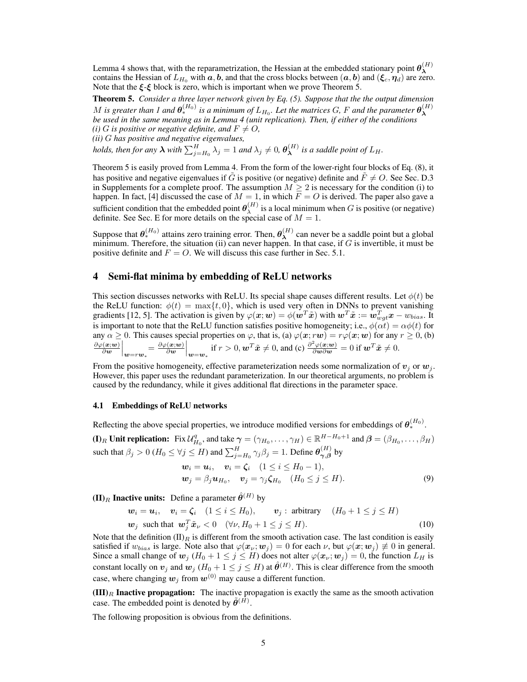Lemma 4 shows that, with the reparametrization, the Hessian at the embedded stationary point  $\theta_{\lambda}^{(H)}$ λ contains the Hessian of  $L_{H_0}$  with  $a, b$ , and that the cross blocks between  $(a, b)$  and  $(\xi_c, \eta_d)$  are zero. Note that the  $\xi - \xi$  block is zero, which is important when we prove Theorem 5.

Theorem 5. *Consider a three layer network given by Eq. (5). Suppose that the the output dimension*  $M$  is greater than 1 and  $\bm{\theta}^{(H_0)}_*$  is a minimum of  $L_{H_0}$ . Let the matrices  $G$ ,  $F$  and the parameter  $\bm{\theta}^{(H)}_{\bm{\lambda}}$ λ *be used in the same meaning as in Lemma 4 (unit replication). Then, if either of the conditions (i)* G is positive or negative definite, and  $F \neq O$ , *(ii)* G *has positive and negative eigenvalues, holds, then for any*  $\lambda$  *with*  $\sum_{j=H_0}^{H} \lambda_j = 1$  *and*  $\lambda_j \neq 0$ ,  $\theta_{\bm{\lambda}}^{(H)}$  $\lambda^{(H)}$  is a saddle point of  $L_H$ .

Theorem 5 is easily proved from Lemma 4. From the form of the lower-right four blocks of Eq. (8), it has positive and negative eigenvalues if G is positive (or negative) definite and  $F \neq O$ . See Sec. D.3 in Supplements for a complete proof. The assumption  $M \geq 2$  is necessary for the condition (i) to happen. In fact, [4] discussed the case of  $M = 1$ , in which  $\overline{F} = O$  is derived. The paper also gave a sufficient condition that the embedded point  $\theta_{\lambda}^{(H)}$  $\lambda^{(H)}$  is a local minimum when G is positive (or negative) definite. See Sec. E for more details on the special case of  $M = 1$ .

Suppose that  $\theta_*^{(H_0)}$  attains zero training error. Then,  $\theta_{\lambda}^{(H)}$  $\lambda^{(H)}$  can never be a saddle point but a global minimum. Therefore, the situation (ii) can never happen. In that case, if  $G$  is invertible, it must be positive definite and  $F = O$ . We will discuss this case further in Sec. 5.1.

## 4 Semi-flat minima by embedding of ReLU networks

This section discusses networks with ReLU. Its special shape causes different results. Let  $\phi(t)$  be the ReLU function:  $\phi(t) = \max\{t, 0\}$ , which is used very often in DNNs to prevent vanishing gradients [12, 5]. The activation is given by  $\varphi(\bm x;\bm w)=\phi(\bm w^T\tilde{\bm x})$  with  $\bm w^T\tilde{\bm x}:=\bm w_{wgt}^T\bm x-w_{bias}.$  It is important to note that the ReLU function satisfies positive homogeneity; i.e.,  $\phi(\alpha t) = \alpha \phi(t)$  for any  $\alpha \ge 0$ . This causes special properties on  $\varphi$ , that is, (a)  $\varphi(x; r\mathbf{w}) = r\varphi(x; \mathbf{w})$  for any  $r \ge 0$ , (b)  $\partial \varphi(\boldsymbol{x};\boldsymbol{w})$  $\begin{vmatrix} \langle x; w\rangle \ \partial w \end{vmatrix}_{\bm{w} = r\bm{w}_*} = \frac{\partial \varphi(\bm{x};\bm{w})}{\partial \bm{w}}$  $\frac{(\boldsymbol{x};\boldsymbol{w})}{\partial \boldsymbol{w}}\Big|_{\boldsymbol{w}=\boldsymbol{w}_*}$  if  $r>0, \boldsymbol{w}^T\tilde{\boldsymbol{x}}\neq 0$ , and (c)  $\frac{\partial^2 \varphi(\boldsymbol{x};\boldsymbol{w})}{\partial \boldsymbol{w}\partial \boldsymbol{w}}=0$  if  $\boldsymbol{w}^T\tilde{\boldsymbol{x}}\neq 0$ .

From the positive homogeneity, effective parameterization needs some normalization of  $v_i$  or  $w_j$ . However, this paper uses the redundant parameterization. In our theoretical arguments, no problem is caused by the redundancy, while it gives additional flat directions in the parameter space.

## 4.1 Embeddings of ReLU networks

Reflecting the above special properties, we introduce modified versions for embeddings of  $\theta_*^{(H_0)}$ .

**(I)**<sub>R</sub> Unit replication: Fix  $\mathcal{U}_{H_0}^q$ , and take  $\boldsymbol{\gamma} = (\gamma_{H_0}, \dots, \gamma_H) \in \mathbb{R}^{H-H_0+1}$  and  $\boldsymbol{\beta} = (\beta_{H_0}, \dots, \beta_H)$ such that  $\beta_j > 0$  ( $H_0 \le \forall j \le H$ ) and  $\sum_{j=H_0}^{H} \gamma_j \beta_j = 1$ . Define  $\theta_{\gamma,\beta}^{(H)}$  $\bigvee_{\gamma,\beta}^{\{H\}}$  by

$$
\begin{aligned} \n\boldsymbol{w}_i &= \boldsymbol{u}_i, \quad \boldsymbol{v}_i = \boldsymbol{\zeta}_i \quad (1 \leq i \leq H_0 - 1), \\ \n\boldsymbol{w}_j &= \beta_j \boldsymbol{u}_{H_0}, \quad \boldsymbol{v}_j = \gamma_j \boldsymbol{\zeta}_{H_0} \quad (H_0 \leq j \leq H). \n\end{aligned} \tag{9}
$$

 $({\bf II})_R$  Inactive units: Define a parameter  $\hat{\theta}^{(H)}$  by

$$
\mathbf{w}_i = \mathbf{u}_i, \quad \mathbf{v}_i = \zeta_i \quad (1 \le i \le H_0), \qquad \mathbf{v}_j : \text{ arbitrary} \quad (H_0 + 1 \le j \le H)
$$
  

$$
\mathbf{w}_j \text{ such that } \mathbf{w}_j^T \tilde{\mathbf{x}}_\nu < 0 \quad (\forall \nu, H_0 + 1 \le j \le H). \tag{10}
$$

Note that the definition  $(II)_R$  is different from the smooth activation case. The last condition is easily satisfied if  $w_{bias}$  is large. Note also that  $\varphi(\mathbf{x}_\nu; \mathbf{w}_j) = 0$  for each  $\nu$ , but  $\varphi(\mathbf{x}; \mathbf{w}_j) \neq 0$  in general. Since a small change of  $w_j$  ( $H_0 + 1 \le j \le H$ ) does not alter  $\varphi(x_\nu; w_j) = 0$ , the function  $L_H$  is constant locally on  $v_j$  and  $w_j$  ( $H_0 + 1 \le j \le H$ ) at  $\hat{\theta}^{(H)}$ . This is clear difference from the smooth case, where changing  $w_i$  from  $w^{(0)}$  may cause a different function.

 **<b>Inactive propagation:** The inactive propagation is exactly the same as the smooth activation case. The embedded point is denoted by  $\tilde{\theta}^{(\tilde{H})}$ .

The following proposition is obvious from the definitions.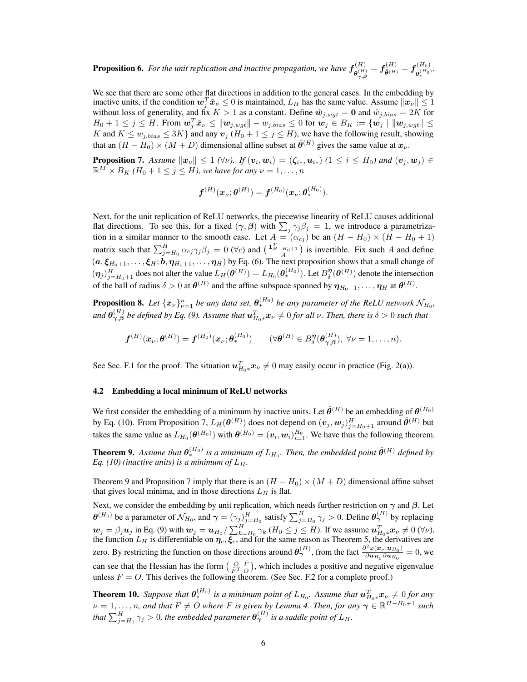**Proposition 6.** For the unit replication and inactive propagation, we have  $f_{\text{off}}^{(H)}$  $\boldsymbol{f}_{\boldsymbol{\theta}^{(H)}_{\boldsymbol{\gamma}, \boldsymbol{\beta}}}^{(H)} = \boldsymbol{f}_{\tilde{\boldsymbol{\theta}}^{(H)}}^{(H)} = \boldsymbol{f}_{\boldsymbol{\theta}^{(H_0)}_*}^{(H_0)}$  $\overset{\scriptscriptstyle{(}}{\theta_*^{(H_0)}}$ .

We see that there are some other flat directions in addition to the general cases. In the embedding by inactive units, if the condition  $w_j^T \tilde{x}_{\nu} \leq 0$  is maintained,  $L_H$  has the same value. Assume  $||x_{\nu}|| \leq 1$ without loss of generality, and fix  $K > 1$  as a constant. Define  $\hat{w}_{j, wgt} = 0$  and  $\hat{w}_{j, bias} = 2K$  for  $H_0+1\leq j\leq H.$  From  $\boldsymbol{w}_j^T\tilde{\boldsymbol{x}}_{\nu}\leq \|\boldsymbol{w}_{j,wgt}\| - w_{j,bias}\leq 0$  for  $\boldsymbol{w}_j\in B_K:=\{\boldsymbol{w}_j\mid \|\boldsymbol{w}_{j,wgt}\|\leq 0$ K and  $K \le w_{j, bias} \le 3K$  and any  $v_j$   $(H_0 + 1 \le j \le H)$ , we have the following result, showing that an  $(H - H_0) \times (M + D)$  dimensional affine subset at  $\hat{\theta}^{(H)}$  gives the same value at  $x_{\nu}$ .

**Proposition 7.** Assume  $\|\mathbf{x}_{\nu}\| \leq 1$  ( $\forall \nu$ ). If  $(\mathbf{v}_i, \mathbf{w}_i) = (\zeta_{i*}, \mathbf{u}_{i*})$  ( $1 \leq i \leq H_0$ ) and  $(\mathbf{v}_j, \mathbf{w}_j) \in$  $\mathbb{R}^M \times B_K$  (H<sub>0</sub> + 1  $\leq j \leq H$ ), we have for any  $\nu = 1, \ldots, n$ 

$$
\boldsymbol{f}^{(H)}(\boldsymbol{x}_{\nu};\boldsymbol{\theta}^{(H)})=\boldsymbol{f}^{(H_0)}(\boldsymbol{x}_{\nu};\boldsymbol{\theta}^{(H_0)}_*).
$$

Next, for the unit replication of ReLU networks, the piecewise linearity of ReLU causes additional flat directions. To see this, for a fixed  $(\gamma, \beta)$  with  $\sum_j \gamma_j \beta_j = 1$ , we introduce a parametrization in a similar manner to the smooth case. Let  $A = (\alpha_{cj})$  be an  $(H - H_0) \times (H - H_0 + 1)$ matrix such that  $\sum_{j=H_0}^{H} \alpha_{cj} \gamma_j \beta_j = 0$  ( $\forall c$ ) and  $\begin{pmatrix} 1_{H-H_0+1}^T \\ A \end{pmatrix}$  is invertible. Fix such A and define  $(a, \xi_{H_0+1}, \ldots, \xi_H; b, \eta_{H_0+1}, \ldots, \eta_H)$  by Eq. (6). The next proposition shows that a small change of  $(\eta_j)_{j=H_0+1}^H$  does not alter the value  $L_H(\theta^{(H)}) = L_{H_0}(\theta^{(H_0)}_*)$ . Let  $B^{\eta}_{\delta}(\theta^{(H)})$  denote the intersection of the ball of radius  $\delta > 0$  at  $\theta^{(H)}$  and the affine subspace spanned by  $\eta_{H_0+1}, \ldots, \eta_H$  at  $\theta^{(H)}$ .

**Proposition 8.** Let  $\{x_{\nu}\}_{\nu=1}^{n}$  be any data set,  $\theta_{*}^{(H_0)}$  be any parameter of the ReLU network  $\mathcal{N}_{H_0}$ , and  $\theta_{\gamma,\beta}^{(H)}$  $\chi_{\gamma,\beta}^{(H)}$  be defined by Eq. (9). Assume that  $\bm{u}_{H_0*}^T\bm{x}_\nu\neq 0$  for all  $\nu$ . Then, there is  $\delta>0$  such that

$$
\boldsymbol{f}^{(H)}(\boldsymbol{x}_{\nu};\boldsymbol{\theta}^{(H)})=\boldsymbol{f}^{(H_0)}(\boldsymbol{x}_{\nu};\boldsymbol{\theta}^{(H_0)}_*)\qquad (\forall \boldsymbol{\theta}^{(H)}\in B^{\boldsymbol{\eta}}_{\delta}(\boldsymbol{\theta}^{(H)}_{\boldsymbol{\gamma},\boldsymbol{\beta}}),\ \forall \nu=1,\ldots,n).
$$

See Sec. F.1 for the proof. The situation  $u_{H_0 *}^T x_{\nu} \neq 0$  may easily occur in practice (Fig. 2(a)).

#### 4.2 Embedding a local minimum of ReLU networks

We first consider the embedding of a minimum by inactive units. Let  $\hat{\theta}^{(H)}$  be an embedding of  $\theta^{(H_0)}$ by Eq. (10). From Proposition 7,  $L_H(\theta^{(H)})$  does not depend on  $(v_j, w_j)_{j=H_0+1}^H$  around  $\hat{\theta}^{(H)}$  but takes the same value as  $L_{H_0}(\theta^{(H_0)})$  with  $\theta^{(H_0)} = (\boldsymbol{v}_i, \boldsymbol{w}_i)_{i=1}^{H_0}$ . We have thus the following theorem.

**Theorem 9.** Assume that  $\theta_*^{(H_0)}$  is a minimum of  $L_{H_0}$ . Then, the embedded point  $\hat{\theta}^{(H)}$  defined by *Eq.* (10) (inactive units) is a minimum of  $L_H$ .

Theorem 9 and Proposition 7 imply that there is an  $(H - H_0) \times (M + D)$  dimensional affine subset that gives local minima, and in those directions  $L_H$  is flat.

Next, we consider the embedding by unit replication, which needs further restriction on  $\gamma$  and  $\beta$ . Let  $\theta^{(H_0)}$  be a parameter of  $\mathcal{N}_{H_0}$ , and  $\boldsymbol{\gamma} = (\gamma_j)_{j=H_0}^H$  satisfy  $\sum_{j=H_0}^H \gamma_j > 0$ . Define  $\theta^{(H)}_{\boldsymbol{\gamma}}$  by replacing  $w_j = \beta_j u_j$  in Eq. (9) with  $w_j = u_{H_0}/\sum_{k=H_0}^H \gamma_k (H_0 \le j \le H)$ . If we assume  $u_{H_0*}^T x_{\nu} \neq 0$  ( $\forall \nu$ ), the function  $L_H$  is differentiable on  $\eta_c, \xi_c$ , and for the same reason as Theorem 5, the derivatives are zero. By restricting the function on those directions around  $\theta_{\gamma}^{(H)}$ , from the fact  $\frac{\partial^2 \varphi(\mathbf{x}_{\nu}, \mathbf{u}_{H_0})}{\partial \mathbf{u}_{H_0} \partial \mathbf{u}_{H_0}}$  $\frac{\partial \Psi(\mathbf{x}_\nu, \mathbf{u}_{H_0})}{\partial \mathbf{u}_{H_0} \partial \mathbf{u}_{H_0}} = 0$ , we can see that the Hessian has the form  $\begin{pmatrix} O & \tilde{F} \\ \tilde{F}^T & O \end{pmatrix}$ , which includes a positive and negative eigenvalue unless  $F = O$ . This derives the following theorem. (See Sec. F.2 for a complete proof.)

**Theorem 10.** Suppose that  $\theta_*^{(H_0)}$  is a minimum point of  $L_{H_0}$ . Assume that  $\mathbf{u}_{H_0*}^T\mathbf{x}_{\nu} \neq 0$  for any  $\nu = 1, \ldots, n$ , and that  $F \neq O$  where F is given by Lemma 4. Then, for any  $\gamma \in \mathbb{R}^{H-H_0+1}$  such that  $\sum_{j=H_0}^H\gamma_j>0$ , the embedded parameter  $\bm{\theta}^{(H)}_{\bm{\gamma}}$  is a saddle point of  $L_H$ .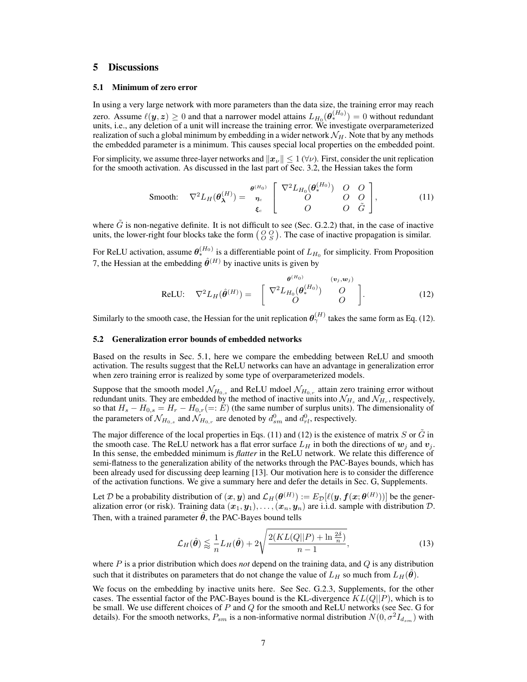## 5 Discussions

#### 5.1 Minimum of zero error

In using a very large network with more parameters than the data size, the training error may reach zero. Assume  $\ell(\bm{y}, \bm{z}) \geq 0$  and that a narrower model attains  $L_{H_0}(\bm{\theta}^{(H_0)}_*) = 0$  without redundant units, i.e., any deletion of a unit will increase the training error. We investigate overparameterized realization of such a global minimum by embedding in a wider network  $\mathcal{N}_H$ . Note that by any methods the embedded parameter is a minimum. This causes special local properties on the embedded point.

For simplicity, we assume three-layer networks and  $||x_v|| \le 1$  ( $\forall v$ ). First, consider the unit replication for the smooth activation. As discussed in the last part of Sec. 3.2, the Hessian takes the form

$$
\text{Smooth:} \quad \nabla^2 L_H(\boldsymbol{\theta}_{\boldsymbol{\lambda}}^{(H)}) = \begin{bmatrix} \boldsymbol{\theta}^{(H_0)} & \begin{bmatrix} \nabla^2 L_{H_0}(\boldsymbol{\theta}_{*}^{(H_0)}) & O & O \\ O & O & O \\ O & O & \tilde{G} \end{bmatrix}, \\ \boldsymbol{\xi}_c & \begin{bmatrix} \nabla^2 L_{H_0}(\boldsymbol{\theta}_{*}^{(H_0)}) & O & O \\ O & O & \tilde{G} \end{bmatrix}, \end{bmatrix}, \tag{11}
$$

where  $\tilde{G}$  is non-negative definite. It is not difficult to see (Sec. G.2.2) that, in the case of inactive units, the lower-right four blocks take the form  $\begin{pmatrix} O & O \\ O & S \end{pmatrix}$ . The case of inactive propagation is similar.

For ReLU activation, assume  $\theta_*^{(H_0)}$  is a differentiable point of  $L_{H_0}$  for simplicity. From Proposition 7, the Hessian at the embedding  $\hat{\theta}^{(H)}$  by inactive units is given by

$$
\text{ReLU:} \quad \nabla^2 L_H(\hat{\boldsymbol{\theta}}^{(H)}) = \begin{bmatrix} \nabla^2 L_{H_0}(\boldsymbol{\theta}_*^{(H_0)}) & (v_j, w_j) \\ \nabla^2 L_{H_0}(\boldsymbol{\theta}_*^{(H_0)}) & O \\ \nabla^2 D_{H_0}(\boldsymbol{\theta}_*^{(H_0)}) & O \end{bmatrix} . \tag{12}
$$

Similarly to the smooth case, the Hessian for the unit replication  $\theta_{\gamma}^{(H)}$  takes the same form as Eq. (12).

#### 5.2 Generalization error bounds of embedded networks

Based on the results in Sec. 5.1, here we compare the embedding between ReLU and smooth activation. The results suggest that the ReLU networks can have an advantage in generalization error when zero training error is realized by some type of overparameterized models.

Suppose that the smooth model  $\mathcal{N}_{H_{0,s}}$  and ReLU mdoel  $\mathcal{N}_{H_{0,r}}$  attain zero training error without redundant units. They are embedded by the method of inactive units into  $\mathcal{N}_{H_s}$  and  $\mathcal{N}_{H_r}$ , respectively, so that  $H_s - H_{0,s} = H_r - H_{0,r} (=: E)$  (the same number of surplus units). The dimensionality of the parameters of  $\mathcal{N}_{H_{0,s}}$  and  $\mathcal{N}_{H_{0,r}}$  are denoted by  $d_{sm}^0$  and  $d_{rl}^0$ , respectively.

The major difference of the local properties in Eqs. (11) and (12) is the existence of matrix S or  $\tilde{G}$  in the smooth case. The ReLU network has a flat error surface  $L_H$  in both the directions of  $w_j$  and  $v_j$ . In this sense, the embedded minimum is *flatter* in the ReLU network. We relate this difference of semi-flatness to the generalization ability of the networks through the PAC-Bayes bounds, which has been already used for discussing deep learning [13]. Our motivation here is to consider the difference of the activation functions. We give a summary here and defer the details in Sec. G, Supplements.

Let  $\mathcal D$  be a probability distribution of  $(x,y)$  and  $\mathcal L_H(\bm \theta^{(H)}):=E_\mathcal D[\ell(y,f(x;\bm \theta^{(H)}))]$  be the generalization error (or risk). Training data  $(x_1,y_1),\ldots,(x_n,y_n)$  are i.i.d. sample with distribution  ${\cal D}$ . Then, with a trained parameter  $\theta$ , the PAC-Bayes bound tells

$$
\mathcal{L}_H(\hat{\theta}) \lessapprox \frac{1}{n} L_H(\hat{\theta}) + 2\sqrt{\frac{2(KL(Q||P) + \ln\frac{2\delta}{n})}{n-1}},\tag{13}
$$

where P is a prior distribution which does *not* depend on the training data, and Q is any distribution such that it distributes on parameters that do not change the value of  $L_H$  so much from  $L_H(\theta)$ .

We focus on the embedding by inactive units here. See Sec. G.2.3, Supplements, for the other cases. The essential factor of the PAC-Bayes bound is the KL-divergence  $KL(Q||P)$ , which is to be small. We use different choices of  $P$  and  $Q$  for the smooth and ReLU networks (see Sec. G for details). For the smooth networks,  $P_{sm}$  is a non-informative normal distribution  $N(0, \sigma^2 I_{d_{sm}})$  with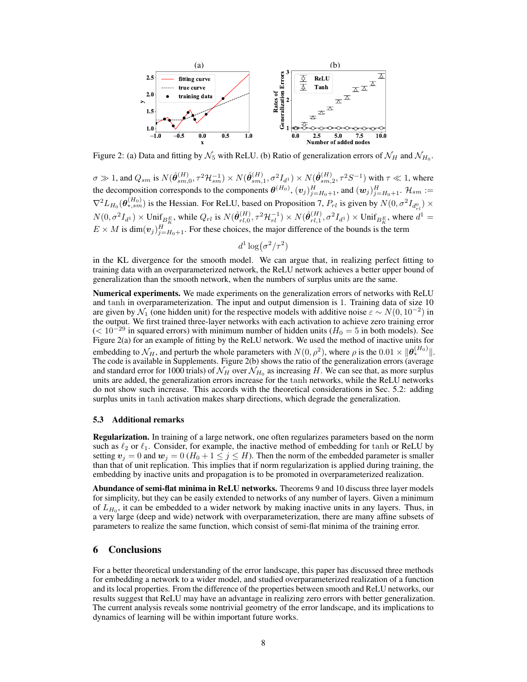

Figure 2: (a) Data and fitting by  $\mathcal{N}_5$  with ReLU. (b) Ratio of generalization errors of  $\mathcal{N}_H$  and  $\mathcal{N}_{H_0}$ .

 $\sigma \gg 1$ , and  $Q_{sm}$  is  $N(\hat{\theta}_{sm,0}^{(H)}, \tau^2 \mathcal{H}_{sm}^{-1}) \times N(\hat{\theta}_{sm,1}^{(H)}, \sigma^2 I_{d^1}) \times N(\hat{\theta}_{sm,2}^{(H)}, \tau^2 S^{-1})$  with  $\tau \ll 1$ , where the decomposition corresponds to the components  $\bm{\theta}^{(H_0)},$   $(\bm{v}_j)_{j=H_0+1}^H$ , and  $(\bm{w}_j)_{j=H_0+1}^H$ .  $\mathcal{H}_{sm}$  :=  $\nabla^2 L_{H_0}(\theta_{*,sm}^{(H_0)})$  is the Hessian. For ReLU, based on Proposition 7,  $P_{rl}$  is given by  $N(0, \sigma^2 I_{d_{rl}^0}) \times$  $N(0, \sigma^2 I_{d^1}) \times \text{Unif}_{B_K^E}$ , while  $Q_{rl}$  is  $N(\hat{\theta}_{rl,0}^{(H)})$  $\hat{r}_{rl,0}^{(H)}, \tau^2 \mathcal{H}_{rl}^{-1}) \times N(\hat{\bm{\theta}}_{rl,1}^{(H)})$  $r_{l,1}^{(H)}, \sigma^2 I_{d^1}$   $\times$  Unif<sub>BE</sub>, where  $d^1 =$  $E \times M$  is  $\dim(v_j)_{j=H_0+1}^H$ . For these choices, the major difference of the bounds is the term

$$
d^1\log(\sigma^2/\tau^2)
$$

in the KL divergence for the smooth model. We can argue that, in realizing perfect fitting to training data with an overparameterized network, the ReLU network achieves a better upper bound of generalization than the smooth network, when the numbers of surplus units are the same.

Numerical experiments. We made experiments on the generalization errors of networks with ReLU and tanh in overparameterization. The input and output dimension is 1. Training data of size 10 are given by  $\mathcal{N}_1$  (one hidden unit) for the respective models with additive noise  $\varepsilon \sim N(0, 10^{-2})$  in the output. We first trained three-layer networks with each activation to achieve zero training error  $(< 10^{-29}$  in squared errors) with minimum number of hidden units ( $H_0 = 5$  in both models). See Figure 2(a) for an example of fitting by the ReLU network. We used the method of inactive units for embedding to  $\mathcal{N}_H$ , and perturb the whole parameters with  $N(0,\rho^2)$ , where  $\rho$  is the  $0.01 \times ||\boldsymbol{\theta}_*^{(H_0)}||$ . The code is available in Supplements. Figure 2(b) shows the ratio of the generalization errors (average and standard error for 1000 trials) of  $\mathcal{N}_H$  over  $\mathcal{N}_{H_0}$  as increasing  $H$ . We can see that, as more surplus units are added, the generalization errors increase for the tanh networks, while the ReLU networks do not show such increase. This accords with the theoretical considerations in Sec. 5.2: adding surplus units in tanh activation makes sharp directions, which degrade the generalization.

#### 5.3 Additional remarks

Regularization. In training of a large network, one often regularizes parameters based on the norm such as  $\ell_2$  or  $\ell_1$ . Consider, for example, the inactive method of embedding for tanh or ReLU by setting  $v_i = 0$  and  $w_j = 0$  ( $H_0 + 1 \le j \le H$ ). Then the norm of the embedded parameter is smaller than that of unit replication. This implies that if norm regularization is applied during training, the embedding by inactive units and propagation is to be promoted in overparameterized realization.

Abundance of semi-flat minima in ReLU networks. Theorems 9 and 10 discuss three layer models for simplicity, but they can be easily extended to networks of any number of layers. Given a minimum of  $L_{H_0}$ , it can be embedded to a wider network by making inactive units in any layers. Thus, in a very large (deep and wide) network with overparameterization, there are many affine subsets of parameters to realize the same function, which consist of semi-flat minima of the training error.

#### 6 Conclusions

For a better theoretical understanding of the error landscape, this paper has discussed three methods for embedding a network to a wider model, and studied overparameterized realization of a function and its local properties. From the difference of the properties between smooth and ReLU networks, our results suggest that ReLU may have an advantage in realizing zero errors with better generalization. The current analysis reveals some nontrivial geometry of the error landscape, and its implications to dynamics of learning will be within important future works.